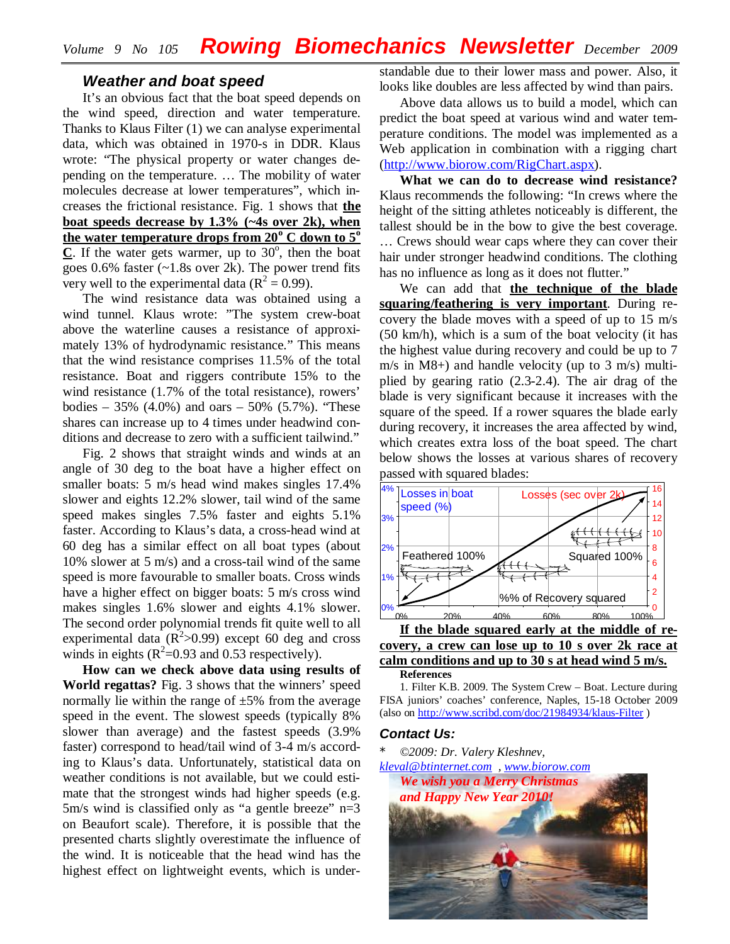## *Weather and boat speed*

It's an obvious fact that the boat speed depends on the wind speed, direction and water temperature. Thanks to Klaus Filter (1) we can analyse experimental data, which was obtained in 1970-s in DDR. Klaus wrote: "The physical property or water changes depending on the temperature. … The mobility of water molecules decrease at lower temperatures", which increases the frictional resistance. Fig. 1 shows that **the boat speeds decrease by 1.3% (~4s over 2k), when the water temperature drops from 20<sup>o</sup> C down to 5<sup>o</sup>**  $C$ . If the water gets warmer, up to  $30^\circ$ , then the boat goes  $0.6\%$  faster (~1.8s over 2k). The power trend fits very well to the experimental data ( $R^2 = 0.99$ ).

The wind resistance data was obtained using a wind tunnel. Klaus wrote: "The system crew-boat above the waterline causes a resistance of approximately 13% of hydrodynamic resistance." This means that the wind resistance comprises 11.5% of the total resistance. Boat and riggers contribute 15% to the wind resistance (1.7% of the total resistance), rowers' bodies – 35% (4.0%) and oars – 50% (5.7%). "These shares can increase up to 4 times under headwind conditions and decrease to zero with a sufficient tailwind."

Fig. 2 shows that straight winds and winds at an angle of 30 deg to the boat have a higher effect on smaller boats: 5 m/s head wind makes singles 17.4% slower and eights 12.2% slower, tail wind of the same speed makes singles 7.5% faster and eights 5.1% faster. According to Klaus's data, a cross-head wind at 60 deg has a similar effect on all boat types (about 10% slower at 5 m/s) and a cross-tail wind of the same speed is more favourable to smaller boats. Cross winds have a higher effect on bigger boats: 5 m/s cross wind makes singles 1.6% slower and eights 4.1% slower. The second order polynomial trends fit quite well to all experimental data  $(R^2>0.99)$  except 60 deg and cross winds in eights  $(R^2=0.93$  and 0.53 respectively).

**How can we check above data using results of World regattas?** Fig. 3 shows that the winners' speed normally lie within the range of  $\pm 5\%$  from the average speed in the event. The slowest speeds (typically 8% slower than average) and the fastest speeds (3.9% faster) correspond to head/tail wind of 3-4 m/s according to Klaus's data. Unfortunately, statistical data on weather conditions is not available, but we could estimate that the strongest winds had higher speeds (e.g. 5m/s wind is classified only as "a gentle breeze"  $n=3$ on Beaufort scale). Therefore, it is possible that the presented charts slightly overestimate the influence of the wind. It is noticeable that the head wind has the highest effect on lightweight events, which is understandable due to their lower mass and power. Also, it looks like doubles are less affected by wind than pairs.

Above data allows us to build a model, which can predict the boat speed at various wind and water temperature conditions. The model was implemented as a Web application in combination with a rigging chart [\(http://www.biorow.com/RigChart.aspx\)](http://www.biorow.com/RigChart.aspx).

**What we can do to decrease wind resistance?** Klaus recommends the following: "In crews where the height of the sitting athletes noticeably is different, the tallest should be in the bow to give the best coverage. … Crews should wear caps where they can cover their hair under stronger headwind conditions. The clothing has no influence as long as it does not flutter."

We can add that **the technique of the blade squaring/feathering is very important**. During recovery the blade moves with a speed of up to 15 m/s (50 km/h), which is a sum of the boat velocity (it has the highest value during recovery and could be up to 7 m/s in M8+) and handle velocity (up to 3 m/s) multiplied by gearing ratio (2.3-2.4). The air drag of the blade is very significant because it increases with the square of the speed. If a rower squares the blade early during recovery, it increases the area affected by wind, which creates extra loss of the boat speed. The chart below shows the losses at various shares of recovery passed with squared blades:



<sup>1.</sup> Filter K.B. 2009. The System Crew – Boat. Lecture during FISA juniors' coaches' conference, Naples, 15-18 October 2009 (also on <http://www.scribd.com/doc/21984934/klaus-Filter> )

## *Contact Us:*

\* *©2009: Dr. Valery Kleshnev,* 

*[kleval@btinternet.com](mailto:kleval@btinternet.com) , [www.biorow.com](http://www.biorow.com)*